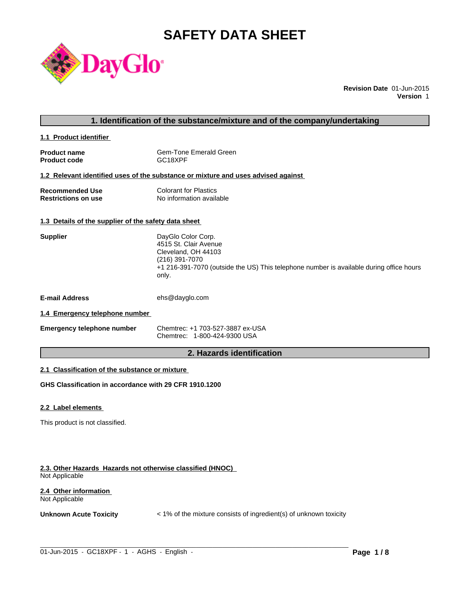# **SAFETY DATA SHEET**



**Revision Date** 01-Jun-2015 **Version** 1

#### **1. Identification of the substance/mixture and of the company/undertaking**

**1.1 Product identifier** 

| <b>Product name</b> | Gem-Tone Emerald Green |
|---------------------|------------------------|
| <b>Product code</b> | GC18XPF                |

#### **1.2 Relevant identified uses of the substance or mixture and uses advised against**

| Recommended Use            | <b>Colorant for Plastics</b> |
|----------------------------|------------------------------|
| <b>Restrictions on use</b> | No information available     |

### **1.3 Details of the supplier of the safety data sheet**

| <b>Supplier</b>                | DayGlo Color Corp.<br>4515 St. Clair Avenue<br>Cleveland, OH 44103<br>(216) 391-7070<br>+1 216-391-7070 (outside the US) This telephone number is available during office hours<br>only. |
|--------------------------------|------------------------------------------------------------------------------------------------------------------------------------------------------------------------------------------|
| <b>E-mail Address</b>          | ehs@dayglo.com                                                                                                                                                                           |
| 1.4 Emergency telephone number |                                                                                                                                                                                          |

## **1.4 Emergency telephone number**

| <b>Emergency telephone number</b> | Chemtrec: +1 703-527-3887 ex-USA |
|-----------------------------------|----------------------------------|
|                                   | Chemtrec: 1-800-424-9300 USA     |

## **2. Hazards identification**

#### **2.1 Classification of the substance or mixture**

**GHS Classification in accordance with 29 CFR 1910.1200**

#### **2.2 Label elements**

This product is not classified.

#### **2.3. Other Hazards Hazards not otherwise classified (HNOC)**  Not Applicable

#### **2.4 Other information**  Not Applicable

**Unknown Acute Toxicity**  $\lt$  1% of the mixture consists of ingredient(s) of unknown toxicity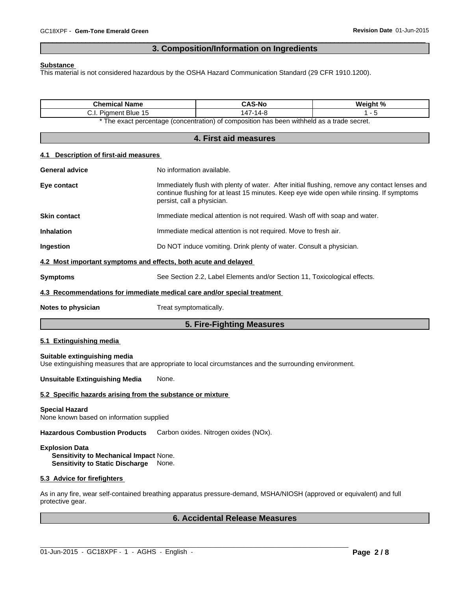## **3. Composition/Information on Ingredients**

 $\overline{\phantom{a}}$  ,  $\overline{\phantom{a}}$  ,  $\overline{\phantom{a}}$  ,  $\overline{\phantom{a}}$  ,  $\overline{\phantom{a}}$  ,  $\overline{\phantom{a}}$  ,  $\overline{\phantom{a}}$  ,  $\overline{\phantom{a}}$  ,  $\overline{\phantom{a}}$  ,  $\overline{\phantom{a}}$  ,  $\overline{\phantom{a}}$  ,  $\overline{\phantom{a}}$  ,  $\overline{\phantom{a}}$  ,  $\overline{\phantom{a}}$  ,  $\overline{\phantom{a}}$  ,  $\overline{\phantom{a}}$ 

#### **Substance**

This material is not considered hazardous by the OSHA Hazard Communication Standard (29 CFR 1910.1200).

| <b>Chemical Name</b>                                                                                                                      |                                                                                                                                                                                                                         | <b>CAS-No</b>                                                                                                     | Weight % |
|-------------------------------------------------------------------------------------------------------------------------------------------|-------------------------------------------------------------------------------------------------------------------------------------------------------------------------------------------------------------------------|-------------------------------------------------------------------------------------------------------------------|----------|
| C.I. Pigment Blue 15                                                                                                                      |                                                                                                                                                                                                                         | 147-14-8<br>$1 - 5$<br>* The exact percentage (concentration) of composition has been withheld as a trade secret. |          |
|                                                                                                                                           |                                                                                                                                                                                                                         |                                                                                                                   |          |
|                                                                                                                                           |                                                                                                                                                                                                                         | 4. First aid measures                                                                                             |          |
| 4.1 Description of first-aid measures                                                                                                     |                                                                                                                                                                                                                         |                                                                                                                   |          |
| <b>General advice</b>                                                                                                                     | No information available.                                                                                                                                                                                               |                                                                                                                   |          |
| Eye contact                                                                                                                               | Immediately flush with plenty of water. After initial flushing, remove any contact lenses and<br>continue flushing for at least 15 minutes. Keep eye wide open while rinsing. If symptoms<br>persist, call a physician. |                                                                                                                   |          |
| <b>Skin contact</b>                                                                                                                       |                                                                                                                                                                                                                         | Immediate medical attention is not required. Wash off with soap and water.                                        |          |
| <b>Inhalation</b>                                                                                                                         |                                                                                                                                                                                                                         | Immediate medical attention is not required. Move to fresh air.                                                   |          |
| Ingestion                                                                                                                                 |                                                                                                                                                                                                                         | Do NOT induce vomiting. Drink plenty of water. Consult a physician.                                               |          |
| 4.2 Most important symptoms and effects, both acute and delayed                                                                           |                                                                                                                                                                                                                         |                                                                                                                   |          |
| <b>Symptoms</b>                                                                                                                           |                                                                                                                                                                                                                         | See Section 2.2, Label Elements and/or Section 11, Toxicological effects.                                         |          |
| 4.3 Recommendations for immediate medical care and/or special treatment                                                                   |                                                                                                                                                                                                                         |                                                                                                                   |          |
| Notes to physician                                                                                                                        | Treat symptomatically.                                                                                                                                                                                                  |                                                                                                                   |          |
|                                                                                                                                           |                                                                                                                                                                                                                         | 5. Fire-Fighting Measures                                                                                         |          |
| 5.1 Extinguishing media                                                                                                                   |                                                                                                                                                                                                                         |                                                                                                                   |          |
| Suitable extinguishing media<br>Use extinguishing measures that are appropriate to local circumstances and the surrounding environment.   |                                                                                                                                                                                                                         |                                                                                                                   |          |
| <b>Unsuitable Extinguishing Media</b>                                                                                                     | None.                                                                                                                                                                                                                   |                                                                                                                   |          |
| 5.2 Specific hazards arising from the substance or mixture                                                                                |                                                                                                                                                                                                                         |                                                                                                                   |          |
| <b>Special Hazard</b><br>None known based on information supplied                                                                         |                                                                                                                                                                                                                         |                                                                                                                   |          |
| <b>Hazardous Combustion Products</b>                                                                                                      | Carbon oxides. Nitrogen oxides (NOx).                                                                                                                                                                                   |                                                                                                                   |          |
| <b>Explosion Data</b><br>Sensitivity to Mechanical Impact None.<br><b>Sensitivity to Static Discharge</b>                                 | None.                                                                                                                                                                                                                   |                                                                                                                   |          |
| 5.3 Advice for firefighters                                                                                                               |                                                                                                                                                                                                                         |                                                                                                                   |          |
| As in any fire, wear self-contained breathing apparatus pressure-demand, MSHA/NIOSH (approved or equivalent) and full<br>protective gear. |                                                                                                                                                                                                                         |                                                                                                                   |          |

## **6. Accidental Release Measures**

 $\_$  ,  $\_$  ,  $\_$  ,  $\_$  ,  $\_$  ,  $\_$  ,  $\_$  ,  $\_$  ,  $\_$  ,  $\_$  ,  $\_$  ,  $\_$  ,  $\_$  ,  $\_$  ,  $\_$  ,  $\_$  ,  $\_$  ,  $\_$  ,  $\_$  ,  $\_$  ,  $\_$  ,  $\_$  ,  $\_$  ,  $\_$  ,  $\_$  ,  $\_$  ,  $\_$  ,  $\_$  ,  $\_$  ,  $\_$  ,  $\_$  ,  $\_$  ,  $\_$  ,  $\_$  ,  $\_$  ,  $\_$  ,  $\_$  ,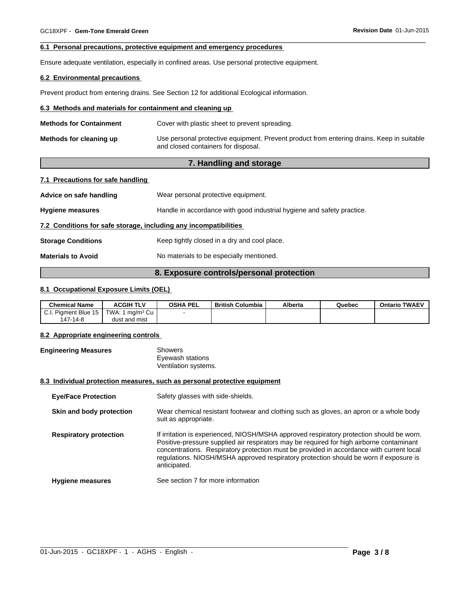#### **6.1 Personal precautions, protective equipment and emergency procedures**

Ensure adequate ventilation, especially in confined areas. Use personal protective equipment.

#### **6.2 Environmental precautions**

Prevent product from entering drains. See Section 12 for additional Ecological information.

#### **6.3 Methods and materials for containment and cleaning up**

| <b>Methods for Containment</b> | Cover with plastic sheet to prevent spreading.                                                                                   |
|--------------------------------|----------------------------------------------------------------------------------------------------------------------------------|
| Methods for cleaning up        | Use personal protective equipment. Prevent product from entering drains. Keep in suitable<br>and closed containers for disposal. |

 $\overline{\phantom{a}}$  ,  $\overline{\phantom{a}}$  ,  $\overline{\phantom{a}}$  ,  $\overline{\phantom{a}}$  ,  $\overline{\phantom{a}}$  ,  $\overline{\phantom{a}}$  ,  $\overline{\phantom{a}}$  ,  $\overline{\phantom{a}}$  ,  $\overline{\phantom{a}}$  ,  $\overline{\phantom{a}}$  ,  $\overline{\phantom{a}}$  ,  $\overline{\phantom{a}}$  ,  $\overline{\phantom{a}}$  ,  $\overline{\phantom{a}}$  ,  $\overline{\phantom{a}}$  ,  $\overline{\phantom{a}}$ 

## **7. Handling and storage**

## **7.1 Precautions for safe handling**

| Advice on safe handling                                          | Wear personal protective equipment.                                    |  |
|------------------------------------------------------------------|------------------------------------------------------------------------|--|
| <b>Hygiene measures</b>                                          | Handle in accordance with good industrial hygiene and safety practice. |  |
| 7.2 Conditions for safe storage, including any incompatibilities |                                                                        |  |
| <b>Storage Conditions</b>                                        | Keep tightly closed in a dry and cool place.                           |  |
| <b>Materials to Avoid</b>                                        | No materials to be especially mentioned.                               |  |

## **8. Exposure controls/personal protection**

#### **8.1 Occupational Exposure Limits (OEL)**

| <b>Chemical Name</b>  | <b>ACGIH TLV</b>      | <b>OSHA PEL</b> | <b>British Columbia</b> | Alberta | Quebec | <b>Ontario TWAEV</b> |
|-----------------------|-----------------------|-----------------|-------------------------|---------|--------|----------------------|
| LC.I. Piament Blue 15 | 1 ma/mª Cu∣<br>TWA: L |                 |                         |         |        |                      |
| 147-14-8              | dust and mist         |                 |                         |         |        |                      |

#### **8.2 Appropriate engineering controls**

| <b>Engineering Measures</b> | Showers              |
|-----------------------------|----------------------|
|                             | Eyewash stations     |
|                             | Ventilation systems. |

#### **8.3 Individual protection measures, such as personal protective equipment**

| <b>Eye/Face Protection</b>    | Safety glasses with side-shields.                                                                                                                                                                                                                                                                                                                                                         |
|-------------------------------|-------------------------------------------------------------------------------------------------------------------------------------------------------------------------------------------------------------------------------------------------------------------------------------------------------------------------------------------------------------------------------------------|
| Skin and body protection      | Wear chemical resistant footwear and clothing such as gloves, an apron or a whole body<br>suit as appropriate.                                                                                                                                                                                                                                                                            |
| <b>Respiratory protection</b> | If irritation is experienced, NIOSH/MSHA approved respiratory protection should be worn.<br>Positive-pressure supplied air respirators may be required for high airborne contaminant<br>concentrations. Respiratory protection must be provided in accordance with current local<br>regulations. NIOSH/MSHA approved respiratory protection should be worn if exposure is<br>anticipated. |
| <b>Hygiene measures</b>       | See section 7 for more information                                                                                                                                                                                                                                                                                                                                                        |

 $\_$  ,  $\_$  ,  $\_$  ,  $\_$  ,  $\_$  ,  $\_$  ,  $\_$  ,  $\_$  ,  $\_$  ,  $\_$  ,  $\_$  ,  $\_$  ,  $\_$  ,  $\_$  ,  $\_$  ,  $\_$  ,  $\_$  ,  $\_$  ,  $\_$  ,  $\_$  ,  $\_$  ,  $\_$  ,  $\_$  ,  $\_$  ,  $\_$  ,  $\_$  ,  $\_$  ,  $\_$  ,  $\_$  ,  $\_$  ,  $\_$  ,  $\_$  ,  $\_$  ,  $\_$  ,  $\_$  ,  $\_$  ,  $\_$  ,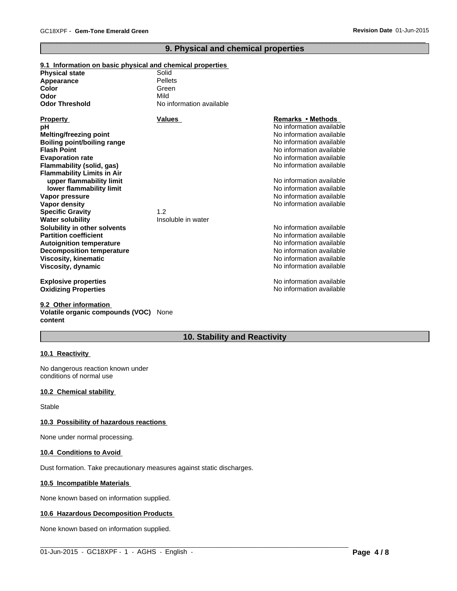## **9. Physical and chemical properties**

 $\overline{\phantom{a}}$  ,  $\overline{\phantom{a}}$  ,  $\overline{\phantom{a}}$  ,  $\overline{\phantom{a}}$  ,  $\overline{\phantom{a}}$  ,  $\overline{\phantom{a}}$  ,  $\overline{\phantom{a}}$  ,  $\overline{\phantom{a}}$  ,  $\overline{\phantom{a}}$  ,  $\overline{\phantom{a}}$  ,  $\overline{\phantom{a}}$  ,  $\overline{\phantom{a}}$  ,  $\overline{\phantom{a}}$  ,  $\overline{\phantom{a}}$  ,  $\overline{\phantom{a}}$  ,  $\overline{\phantom{a}}$ 

#### **9.1 Information on basic physical and chemical properties**

| <b>Physical state</b>             | Solid                    |                          |
|-----------------------------------|--------------------------|--------------------------|
| Appearance                        | Pellets                  |                          |
| Color                             | Green                    |                          |
| Odor                              | Mild                     |                          |
| <b>Odor Threshold</b>             | No information available |                          |
| <b>Property</b>                   | <b>Values</b>            | Remarks • Methods        |
| рH                                |                          | No information available |
| <b>Melting/freezing point</b>     |                          | No information available |
| Boiling point/boiling range       |                          | No information available |
| <b>Flash Point</b>                |                          | No information available |
| <b>Evaporation rate</b>           |                          | No information available |
| Flammability (solid, gas)         |                          | No information available |
| <b>Flammability Limits in Air</b> |                          |                          |
| upper flammability limit          |                          | No information available |
| lower flammability limit          |                          | No information available |
| Vapor pressure                    |                          | No information available |
| <b>Vapor density</b>              |                          | No information available |
| <b>Specific Gravity</b>           | 1.2                      |                          |
| <b>Water solubility</b>           | Insoluble in water       |                          |
| Solubility in other solvents      |                          | No information available |
| <b>Partition coefficient</b>      |                          | No information available |
| <b>Autoignition temperature</b>   |                          | No information available |
| <b>Decomposition temperature</b>  |                          | No information available |
| <b>Viscosity, kinematic</b>       |                          | No information available |
| Viscosity, dynamic                |                          | No information available |
| <b>Explosive properties</b>       |                          | No information available |
| <b>Oxidizing Properties</b>       |                          | No information available |

#### **9.2 Other information Volatile organic compounds (VOC)** None **content**

## **10. Stability and Reactivity**

 $\_$  ,  $\_$  ,  $\_$  ,  $\_$  ,  $\_$  ,  $\_$  ,  $\_$  ,  $\_$  ,  $\_$  ,  $\_$  ,  $\_$  ,  $\_$  ,  $\_$  ,  $\_$  ,  $\_$  ,  $\_$  ,  $\_$  ,  $\_$  ,  $\_$  ,  $\_$  ,  $\_$  ,  $\_$  ,  $\_$  ,  $\_$  ,  $\_$  ,  $\_$  ,  $\_$  ,  $\_$  ,  $\_$  ,  $\_$  ,  $\_$  ,  $\_$  ,  $\_$  ,  $\_$  ,  $\_$  ,  $\_$  ,  $\_$  ,

#### **10.1 Reactivity**

No dangerous reaction known under conditions of normal use

#### **10.2 Chemical stability**

Stable

#### **10.3 Possibility of hazardous reactions**

None under normal processing.

#### **10.4 Conditions to Avoid**

Dust formation. Take precautionary measures against static discharges.

#### **10.5 Incompatible Materials**

None known based on information supplied.

#### **10.6 Hazardous Decomposition Products**

None known based on information supplied.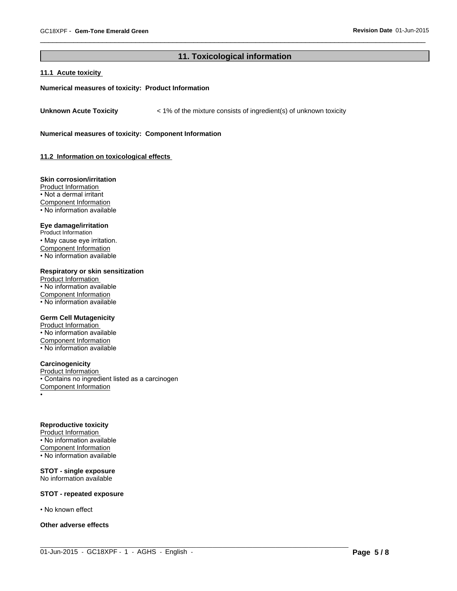## **11. Toxicological information**

 $\_$  ,  $\_$  ,  $\_$  ,  $\_$  ,  $\_$  ,  $\_$  ,  $\_$  ,  $\_$  ,  $\_$  ,  $\_$  ,  $\_$  ,  $\_$  ,  $\_$  ,  $\_$  ,  $\_$  ,  $\_$  ,  $\_$  ,  $\_$  ,  $\_$  ,  $\_$  ,  $\_$  ,  $\_$  ,  $\_$  ,  $\_$  ,  $\_$  ,  $\_$  ,  $\_$  ,  $\_$  ,  $\_$  ,  $\_$  ,  $\_$  ,  $\_$  ,  $\_$  ,  $\_$  ,  $\_$  ,  $\_$  ,  $\_$  ,

 $\overline{\phantom{a}}$  ,  $\overline{\phantom{a}}$  ,  $\overline{\phantom{a}}$  ,  $\overline{\phantom{a}}$  ,  $\overline{\phantom{a}}$  ,  $\overline{\phantom{a}}$  ,  $\overline{\phantom{a}}$  ,  $\overline{\phantom{a}}$  ,  $\overline{\phantom{a}}$  ,  $\overline{\phantom{a}}$  ,  $\overline{\phantom{a}}$  ,  $\overline{\phantom{a}}$  ,  $\overline{\phantom{a}}$  ,  $\overline{\phantom{a}}$  ,  $\overline{\phantom{a}}$  ,  $\overline{\phantom{a}}$ 

#### **11.1 Acute toxicity**

#### **Numerical measures of toxicity: Product Information**

**Unknown Acute Toxicity** < 1% of the mixture consists of ingredient(s) of unknown toxicity

**Numerical measures of toxicity: Component Information**

**11.2 Information on toxicological effects** 

#### **Skin corrosion/irritation**

Product Information • Not a dermal irritant Component Information • No information available

#### **Eye damage/irritation**

Product Information • May cause eye irritation. Component Information • No information available

#### **Respiratory or skin sensitization**

Product Information • No information available Component Information • No information available

#### **Germ Cell Mutagenicity**

Product Information • No information available Component Information • No information available

#### **Carcinogenicity**

Product Information • Contains no ingredient listed as a carcinogen Component Information •

#### **Reproductive toxicity**

Product Information • No information available Component Information  $\overline{\cdot}$  No information available

#### **STOT - single exposure** No information available

#### **STOT - repeated exposure**

• No known effect

#### **Other adverse effects**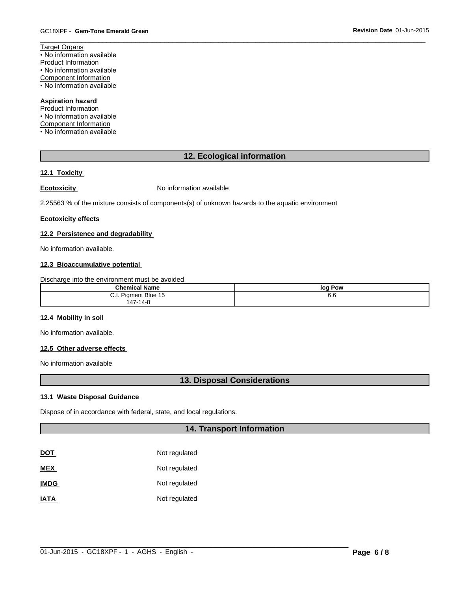Target Organs • No information available Product Information • No information available Component Information • No information available

#### **Aspiration hazard**

Product Information • No information available Component Information

• No information available

## **12. Ecological information**

 $\overline{\phantom{a}}$  ,  $\overline{\phantom{a}}$  ,  $\overline{\phantom{a}}$  ,  $\overline{\phantom{a}}$  ,  $\overline{\phantom{a}}$  ,  $\overline{\phantom{a}}$  ,  $\overline{\phantom{a}}$  ,  $\overline{\phantom{a}}$  ,  $\overline{\phantom{a}}$  ,  $\overline{\phantom{a}}$  ,  $\overline{\phantom{a}}$  ,  $\overline{\phantom{a}}$  ,  $\overline{\phantom{a}}$  ,  $\overline{\phantom{a}}$  ,  $\overline{\phantom{a}}$  ,  $\overline{\phantom{a}}$ 

#### **12.1 Toxicity**

**Ecotoxicity No information available** 

2.25563 % of the mixture consists of components(s) of unknown hazards to the aquatic environment

#### **Ecotoxicity effects**

#### **12.2 Persistence and degradability**

No information available.

#### **12.3 Bioaccumulative potential**

Discharge into the environment must be avoided

| <b>Chemical Name</b>    | loa<br>Pow |
|-------------------------|------------|
| Pigment Blue 15<br>◡.୲. | . .<br>6.6 |
| $47-14-8$<br>$\sim$     |            |

#### **12.4 Mobility in soil**

No information available.

#### **12.5 Other adverse effects**

No information available

### **13. Disposal Considerations**

#### **13.1 Waste Disposal Guidance**

Dispose of in accordance with federal, state, and local regulations.

### **14. Transport Information**

| <b>DOT</b>  | Not regulated |
|-------------|---------------|
| <b>MEX</b>  | Not regulated |
| <b>IMDG</b> | Not regulated |
| <b>IATA</b> | Not regulated |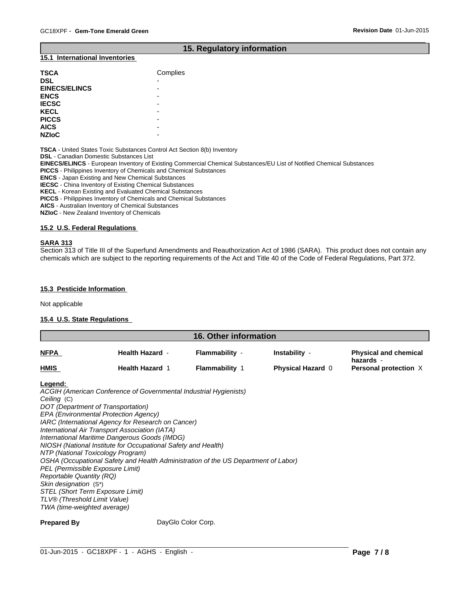## **15. Regulatory information**

 $\overline{\phantom{a}}$  ,  $\overline{\phantom{a}}$  ,  $\overline{\phantom{a}}$  ,  $\overline{\phantom{a}}$  ,  $\overline{\phantom{a}}$  ,  $\overline{\phantom{a}}$  ,  $\overline{\phantom{a}}$  ,  $\overline{\phantom{a}}$  ,  $\overline{\phantom{a}}$  ,  $\overline{\phantom{a}}$  ,  $\overline{\phantom{a}}$  ,  $\overline{\phantom{a}}$  ,  $\overline{\phantom{a}}$  ,  $\overline{\phantom{a}}$  ,  $\overline{\phantom{a}}$  ,  $\overline{\phantom{a}}$ 

#### **15.1 International Inventories**

| <b>TSCA</b>          | Complies |
|----------------------|----------|
| <b>DSL</b>           | -        |
| <b>EINECS/ELINCS</b> | -        |
| <b>ENCS</b>          | -        |
| <b>IECSC</b>         | -        |
| <b>KECL</b>          | -        |
| <b>PICCS</b>         | -        |
| <b>AICS</b>          | -        |
| <b>NZIOC</b>         | -        |

**TSCA** - United States Toxic Substances Control Act Section 8(b) Inventory

**DSL** - Canadian Domestic Substances List

**EINECS/ELINCS** - European Inventory of Existing Commercial Chemical Substances/EU List of Notified Chemical Substances

**PICCS** - Philippines Inventory of Chemicals and Chemical Substances

**ENCS** - Japan Existing and New Chemical Substances

**IECSC** - China Inventory of Existing Chemical Substances

**KECL** - Korean Existing and Evaluated Chemical Substances

**PICCS** - Philippines Inventory of Chemicals and Chemical Substances

**AICS** - Australian Inventory of Chemical Substances

**NZIoC** - New Zealand Inventory of Chemicals

#### **15.2 U.S. Federal Regulations**

#### **SARA 313**

Section 313 of Title III of the Superfund Amendments and Reauthorization Act of 1986 (SARA). This product does not contain any chemicals which are subject to the reporting requirements of the Act and Title 40 of the Code of Federal Regulations, Part 372.

#### **15.3 Pesticide Information**

Not applicable

#### **15.4 U.S. State Regulations**

| 16. Other information |                        |                       |                          |                                           |
|-----------------------|------------------------|-----------------------|--------------------------|-------------------------------------------|
| <b>NFPA</b>           | <b>Health Hazard -</b> | <b>Flammability -</b> | Instability -            | <b>Physical and chemical</b><br>hazards - |
| <b>HMIS</b>           | <b>Health Hazard 1</b> | <b>Flammability 1</b> | <b>Physical Hazard 0</b> | Personal protection X                     |

**Legend:** 

*ACGIH (American Conference of Governmental Industrial Hygienists) Ceiling* (C) *DOT (Department of Transportation) EPA (Environmental Protection Agency) IARC (International Agency for Research on Cancer) International Air Transport Association (IATA) International Maritime Dangerous Goods (IMDG) NIOSH (National Institute for Occupational Safety and Health) NTP (National Toxicology Program) OSHA (Occupational Safety and Health Administration of the US Department of Labor) PEL (Permissible Exposure Limit) Reportable Quantity (RQ) Skin designation* (S\*) *STEL (Short Term Exposure Limit) TLV® (Threshold Limit Value) TWA (time-weighted average)*

**Prepared By** DayGlo Color Corp.